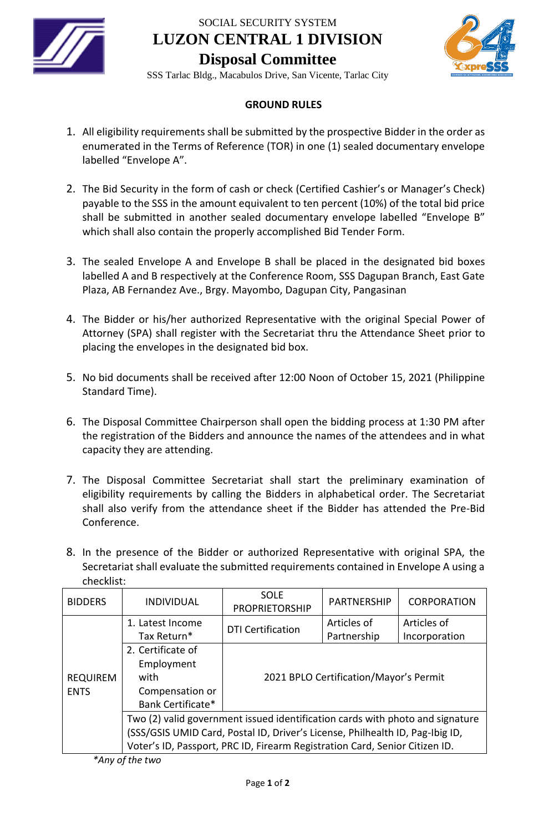

SOCIAL SECURITY SYSTEM

**LUZON CENTRAL 1 DIVISION**



**Disposal Committee** SSS Tarlac Bldg., Macabulos Drive, San Vicente, Tarlac City

## **GROUND RULES**

- 1. All eligibility requirements shall be submitted by the prospective Bidder in the order as enumerated in the Terms of Reference (TOR) in one (1) sealed documentary envelope labelled "Envelope A".
- 2. The Bid Security in the form of cash or check (Certified Cashier's or Manager's Check) payable to the SSS in the amount equivalent to ten percent (10%) of the total bid price shall be submitted in another sealed documentary envelope labelled "Envelope B" which shall also contain the properly accomplished Bid Tender Form.
- 3. The sealed Envelope A and Envelope B shall be placed in the designated bid boxes labelled A and B respectively at the Conference Room, SSS Dagupan Branch, East Gate Plaza, AB Fernandez Ave., Brgy. Mayombo, Dagupan City, Pangasinan
- 4. The Bidder or his/her authorized Representative with the original Special Power of Attorney (SPA) shall register with the Secretariat thru the Attendance Sheet prior to placing the envelopes in the designated bid box.
- 5. No bid documents shall be received after 12:00 Noon of October 15, 2021 (Philippine Standard Time).
- 6. The Disposal Committee Chairperson shall open the bidding process at 1:30 PM after the registration of the Bidders and announce the names of the attendees and in what capacity they are attending.
- 7. The Disposal Committee Secretariat shall start the preliminary examination of eligibility requirements by calling the Bidders in alphabetical order. The Secretariat shall also verify from the attendance sheet if the Bidder has attended the Pre-Bid Conference.
- 8. In the presence of the Bidder or authorized Representative with original SPA, the Secretariat shall evaluate the submitted requirements contained in Envelope A using a checklist:

| <b>BIDDERS</b>                 | <b>INDIVIDUAL</b>                                                             | <b>SOLE</b><br><b>PROPRIETORSHIP</b>   | <b>PARTNERSHIP</b> | <b>CORPORATION</b> |
|--------------------------------|-------------------------------------------------------------------------------|----------------------------------------|--------------------|--------------------|
| <b>REQUIREM</b><br><b>ENTS</b> | 1. Latest Income                                                              | <b>DTI Certification</b>               | Articles of        | Articles of        |
|                                | Tax Return*                                                                   |                                        | Partnership        | Incorporation      |
|                                | 2. Certificate of                                                             | 2021 BPLO Certification/Mayor's Permit |                    |                    |
|                                | Employment                                                                    |                                        |                    |                    |
|                                | with                                                                          |                                        |                    |                    |
|                                | Compensation or                                                               |                                        |                    |                    |
|                                | Bank Certificate*                                                             |                                        |                    |                    |
|                                | Two (2) valid government issued identification cards with photo and signature |                                        |                    |                    |
|                                | (SSS/GSIS UMID Card, Postal ID, Driver's License, Philhealth ID, Pag-Ibig ID, |                                        |                    |                    |
|                                | Voter's ID, Passport, PRC ID, Firearm Registration Card, Senior Citizen ID.   |                                        |                    |                    |

*\*Any of the two*